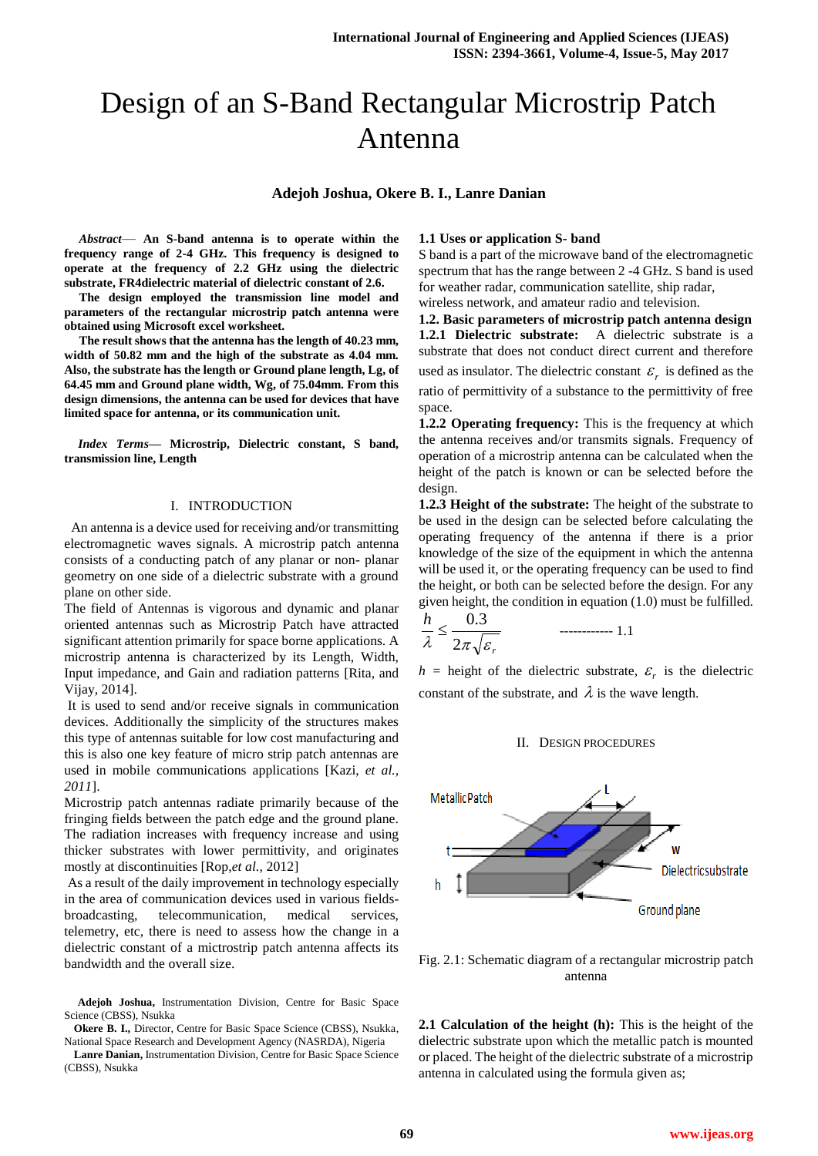# Design of an S-Band Rectangular Microstrip Patch Antenna

## **Adejoh Joshua, Okere B. I., Lanre Danian**

*Abstract*— **An S-band antenna is to operate within the frequency range of 2-4 GHz. This frequency is designed to operate at the frequency of 2.2 GHz using the dielectric substrate, FR4dielectric material of dielectric constant of 2.6.** 

**The design employed the transmission line model and parameters of the rectangular microstrip patch antenna were obtained using Microsoft excel worksheet.** 

**The result shows that the antenna has the length of 40.23 mm, width of 50.82 mm and the high of the substrate as 4.04 mm. Also, the substrate has the length or Ground plane length, Lg, of 64.45 mm and Ground plane width, Wg, of 75.04mm. From this design dimensions, the antenna can be used for devices that have limited space for antenna, or its communication unit.**

*Index Terms***— Microstrip, Dielectric constant, S band, transmission line, Length**

## I. INTRODUCTION

 An antenna is a device used for receiving and/or transmitting electromagnetic waves signals. A microstrip patch antenna consists of a conducting patch of any planar or non- planar geometry on one side of a dielectric substrate with a ground plane on other side.

The field of Antennas is vigorous and dynamic and planar oriented antennas such as Microstrip Patch have attracted significant attention primarily for space borne applications. A microstrip antenna is characterized by its Length, Width, Input impedance, and Gain and radiation patterns [Rita, and Vijay, 2014].

It is used to send and/or receive signals in communication devices. Additionally the simplicity of the structures makes this type of antennas suitable for low cost manufacturing and this is also one key feature of micro strip patch antennas are used in mobile communications applications [Kazi, *et al., 2011*].

Microstrip patch antennas radiate primarily because of the fringing fields between the patch edge and the ground plane. The radiation increases with frequency increase and using thicker substrates with lower permittivity, and originates mostly at discontinuities [Rop,*et al.,* 2012]

As a result of the daily improvement in technology especially in the area of communication devices used in various fieldsbroadcasting, telecommunication, medical services, telemetry, etc, there is need to assess how the change in a dielectric constant of a mictrostrip patch antenna affects its bandwidth and the overall size.

**Adejoh Joshua,** Instrumentation Division, Centre for Basic Space Science (CBSS), Nsukka

**Okere B. I.,** Director, Centre for Basic Space Science (CBSS), Nsukka, National Space Research and Development Agency (NASRDA), Nigeria

## **1.1 Uses or application S- band**

S band is a part of the microwave band of the electromagnetic spectrum that has the range between 2 -4 GHz. S band is used for weather radar, communication satellite, ship radar, wireless network, and amateur radio and television.

**1.2. Basic parameters of microstrip patch antenna design 1.2.1 Dielectric substrate:** A dielectric substrate is a substrate that does not conduct direct current and therefore used as insulator. The dielectric constant  $\varepsilon_r$  is defined as the ratio of permittivity of a substance to the permittivity of free space.

**1.2.2 Operating frequency:** This is the frequency at which the antenna receives and/or transmits signals. Frequency of operation of a microstrip antenna can be calculated when the height of the patch is known or can be selected before the design.

**1.2.3 Height of the substrate:** The height of the substrate to be used in the design can be selected before calculating the operating frequency of the antenna if there is a prior knowledge of the size of the equipment in which the antenna will be used it, or the operating frequency can be used to find the height, or both can be selected before the design. For any given height, the condition in equation (1.0) must be fulfilled.

$$
\frac{h}{\lambda} \le \frac{0.3}{2\pi\sqrt{\varepsilon_r}}
$$
 1.1

 $h =$  height of the dielectric substrate,  $\varepsilon_r$  is the dielectric constant of the substrate, and  $\lambda$  is the wave length.

### II. DESIGN PROCEDURES



Fig. 2.1: Schematic diagram of a rectangular microstrip patch antenna

**2.1 Calculation of the height (h):** This is the height of the dielectric substrate upon which the metallic patch is mounted or placed. The height of the dielectric substrate of a microstrip antenna in calculated using the formula given as;

**Lanre Danian,** Instrumentation Division, Centre for Basic Space Science (CBSS), Nsukka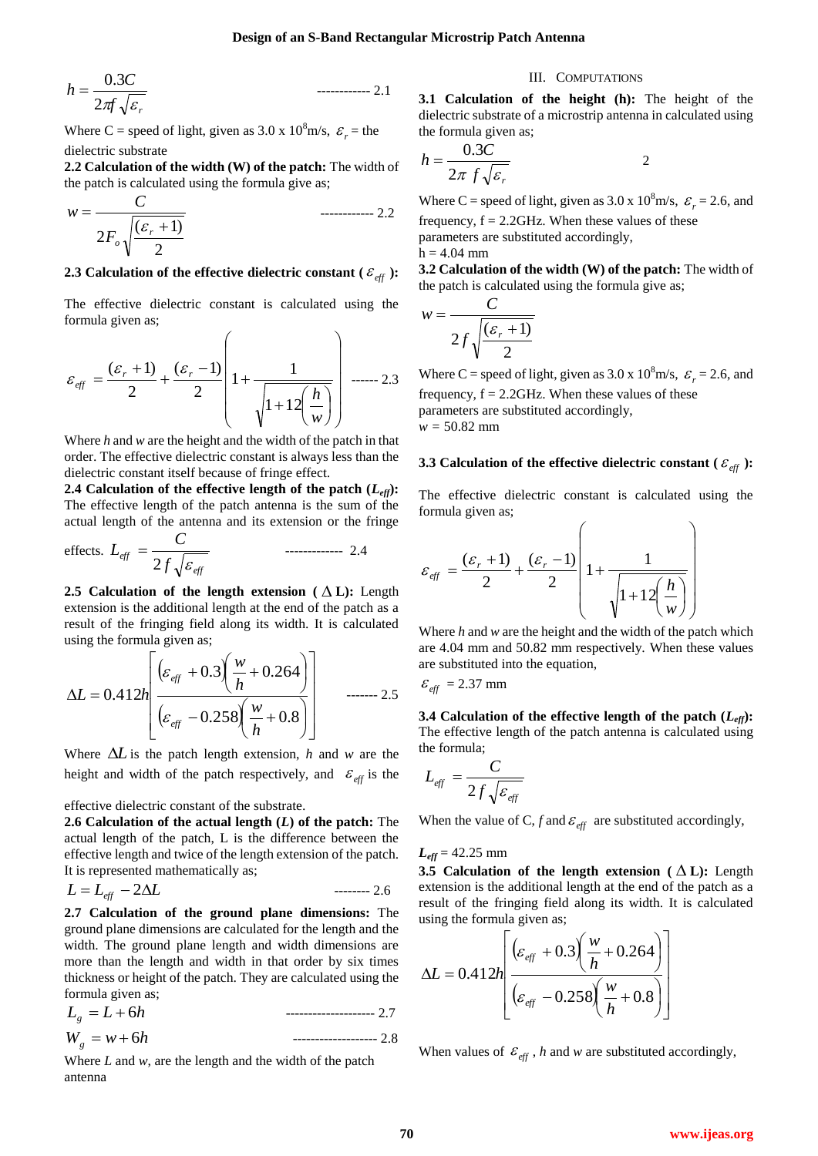$$
h = \frac{0.3C}{2\pi \sqrt{\varepsilon_r}} \qquad \qquad \text{............} \quad 2.1
$$

Where C = speed of light, given as  $3.0 \times 10^8$  m/s,  $\varepsilon_r$  = the dielectric substrate

**2.2 Calculation of the width (W) of the patch:** The width of the patch is calculated using the formula give as;

$$
w = \frac{C}{2F_o\sqrt{\frac{(\varepsilon_r + 1)}{2}}}
$$

# **2.3** Calculation of the effective dielectric constant (  $\varepsilon_{\text{eff}}$  ):

The effective dielectric constant is calculated using the formula given as;

$$
\varepsilon_{\text{eff}} = \frac{(\varepsilon_r + 1)}{2} + \frac{(\varepsilon_r - 1)}{2} \left( 1 + \frac{1}{\sqrt{1 + 12 \left( \frac{h}{w} \right)}} \right) \dots \dots \dots \dots 2.3
$$

Where *h* and *w* are the height and the width of the patch in that order. The effective dielectric constant is always less than the dielectric constant itself because of fringe effect.

**2.4** Calculation of the effective length of the patch  $(L_{\text{eff}})$ : The effective length of the patch antenna is the sum of the actual length of the antenna and its extension or the fringe

$$
\text{effects. } L_{\text{eff}} = \frac{C}{2f\sqrt{\varepsilon_{\text{eff}}}} \qquad \qquad \text{---} \qquad 2.4
$$

2.5 Calculation of the length extension  $( \Delta L)$ : Length extension is the additional length at the end of the patch as a result of the fringing field along its width. It is calculated using the formula given as;

$$
\Delta L = 0.412h \left[ \frac{(\varepsilon_{\text{eff}} + 0.3 \left( \frac{w}{h} + 0.264 \right))}{(\varepsilon_{\text{eff}} - 0.258 \left( \frac{w}{h} + 0.8 \right))} \right] \qquad \qquad \text{......} \qquad 2.5
$$

Where  $\Delta L$  is the patch length extension, *h* and *w* are the height and width of the patch respectively, and  $\varepsilon_{\text{eff}}$  is the

effective dielectric constant of the substrate.

**2.6 Calculation of the actual length (***L***) of the patch:** The actual length of the patch, L is the difference between the effective length and twice of the length extension of the patch. It is represented mathematically as;

$$
L = L_{\text{eff}} - 2\Delta L \tag{2.6}
$$

<sup>19</sup> w<sub>w</sub>. *7* www. interesting the spin at 3.0 x 10 with the spin at 10 with the spin at 10 with the spin at 10 with the spin at 10 with the spin at 10 with the spin at 10 with the spin at 10 with the spin at 10 with th **2.7 Calculation of the ground plane dimensions:** The ground plane dimensions are calculated for the length and the width. The ground plane length and width dimensions are more than the length and width in that order by six times thickness or height of the patch. They are calculated using the formula given as;

 $L_{a} = L + 6h$  *L* 6*h* -------------------- 2.7  $W_{g} = w + 6h$ *w* 6*h* ------------------- 2.8

Where *L* and *w*, are the length and the width of the patch antenna

## III. COMPUTATIONS

**3.1 Calculation of the height (h):** The height of the dielectric substrate of a microstrip antenna in calculated using the formula given as;

$$
h = \frac{0.3C}{2\pi f \sqrt{\varepsilon_r}}
$$

Where C = speed of light, given as  $3.0 \times 10^8$  m/s,  $\varepsilon_r = 2.6$ , and frequency,  $f = 2.2$ GHz. When these values of these parameters are substituted accordingly,  $h = 4.04$  mm

**3.2 Calculation of the width (W) of the patch:** The width of the patch is calculated using the formula give as;

$$
w = \frac{C}{2f\sqrt{\frac{(\varepsilon_r + 1)}{2}}}
$$

Where C = speed of light, given as  $3.0 \times 10^8$  m/s,  $\varepsilon_r = 2.6$ , and frequency,  $f = 2.2$ GHz. When these values of these parameters are substituted accordingly, *w =* 50.82 mm

# **3.3** Calculation of the effective dielectric constant (  $\varepsilon_{\text{eff}}$  ):

The effective dielectric constant is calculated using the formula given as;

$$
\varepsilon_{\text{eff}} = \frac{(\varepsilon_r + 1)}{2} + \frac{(\varepsilon_r - 1)}{2} \left( 1 + \frac{1}{\sqrt{1 + 12\left(\frac{h}{w}\right)}} \right)
$$

Where *h* and *w* are the height and the width of the patch which are 4.04 mm and 50.82 mm respectively. When these values are substituted into the equation,

$$
\varepsilon_{\text{eff}} = 2.37 \text{ mm}
$$

**3.4 Calculation of the effective length of the patch**  $(L_{\text{eff}})$ **:** The effective length of the patch antenna is calculated using the formula;

$$
L_{\text{eff}} = \frac{C}{2 f \sqrt{\varepsilon_{\text{eff}}}}
$$

When the value of C,  $f$  and  $\varepsilon_{\text{eff}}$  are substituted accordingly,

## $L_{eff}$  = 42.25 mm

**3.5** Calculation of the length extension  $( \Delta L)$ : Length extension is the additional length at the end of the patch as a result of the fringing field along its width. It is calculated using the formula given as;

$$
\Delta L = 0.412h \left[ \frac{(\varepsilon_{\text{eff}} + 0.3 \left( \frac{w}{h} + 0.264 \right))}{(\varepsilon_{\text{eff}} - 0.258 \left( \frac{w}{h} + 0.8 \right))} \right]
$$

When values of  $\varepsilon_{\text{eff}}$ , *h* and *w* are substituted accordingly,